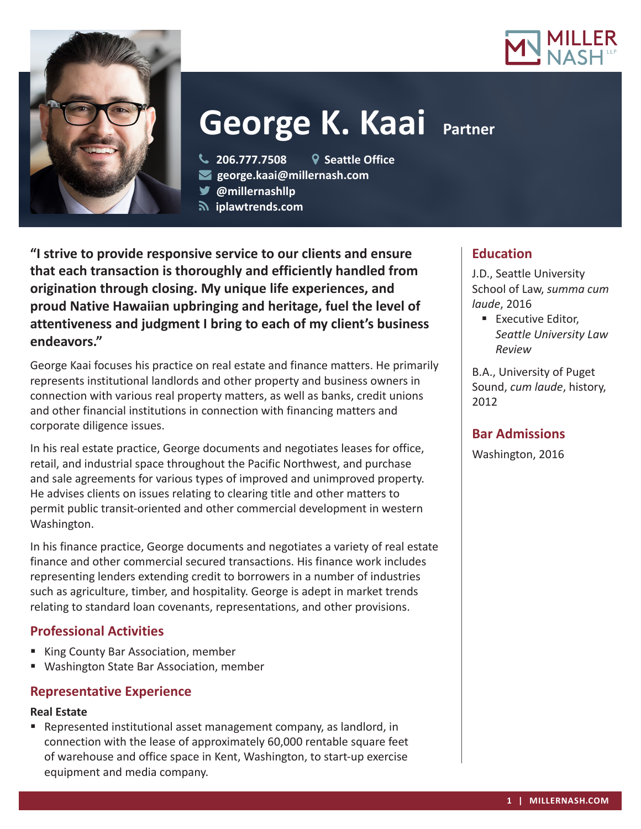



# **George K. Kaai Partner**

**206.777.7508 Seattle Office**

- **george.kaai@millernash.com**
- **@millernashllp**
- **iplawtrends.com**

**"I strive to provide responsive service to our clients and ensure that each transaction is thoroughly and efficiently handled from origination through closing. My unique life experiences, and proud Native Hawaiian upbringing and heritage, fuel the level of attentiveness and judgment I bring to each of my client's business endeavors."**

George Kaai focuses his practice on real estate and finance matters. He primarily represents institutional landlords and other property and business owners in connection with various real property matters, as well as banks, credit unions and other financial institutions in connection with financing matters and corporate diligence issues.

In his real estate practice, George documents and negotiates leases for office, retail, and industrial space throughout the Pacific Northwest, and purchase and sale agreements for various types of improved and unimproved property. He advises clients on issues relating to clearing title and other matters to permit public transit-oriented and other commercial development in western Washington.

In his finance practice, George documents and negotiates a variety of real estate finance and other commercial secured transactions. His finance work includes representing lenders extending credit to borrowers in a number of industries such as agriculture, timber, and hospitality. George is adept in market trends relating to standard loan covenants, representations, and other provisions.

# **Professional Activities**

- King County Bar Association, member
- Washington State Bar Association, member

#### **Representative Experience**

#### **Real Estate**

 Represented institutional asset management company, as landlord, in connection with the lease of approximately 60,000 rentable square feet of warehouse and office space in Kent, Washington, to start-up exercise equipment and media company.

## **Education**

J.D., Seattle University School of Law, *summa cum laude*, 2016

**Executive Editor,** *Seattle University Law Review*

B.A., University of Puget Sound, *cum laude*, history, 2012

## **Bar Admissions**

Washington, 2016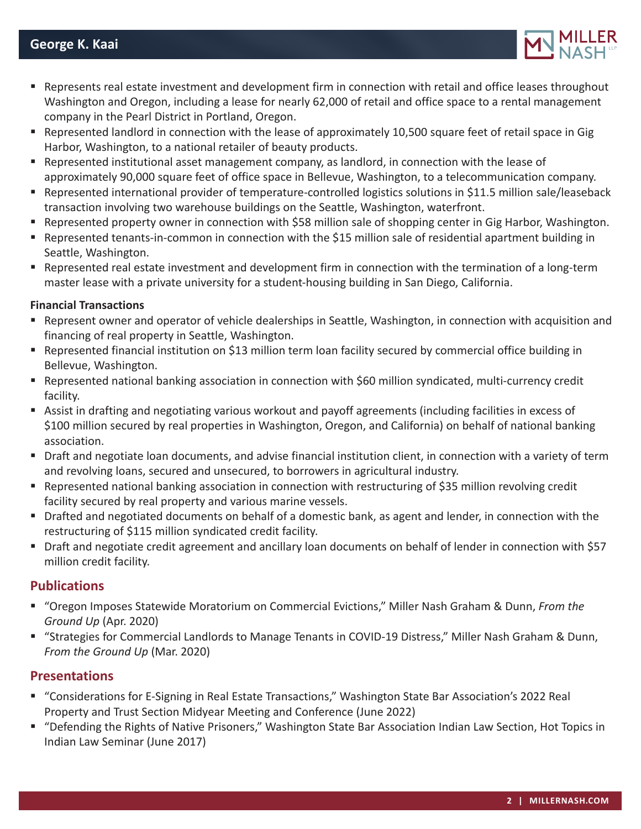

- Represents real estate investment and development firm in connection with retail and office leases throughout Washington and Oregon, including a lease for nearly 62,000 of retail and office space to a rental management company in the Pearl District in Portland, Oregon.
- Represented landlord in connection with the lease of approximately 10,500 square feet of retail space in Gig Harbor, Washington, to a national retailer of beauty products.
- Represented institutional asset management company, as landlord, in connection with the lease of approximately 90,000 square feet of office space in Bellevue, Washington, to a telecommunication company.
- Represented international provider of temperature-controlled logistics solutions in \$11.5 million sale/leaseback transaction involving two warehouse buildings on the Seattle, Washington, waterfront.
- Represented property owner in connection with \$58 million sale of shopping center in Gig Harbor, Washington.
- Represented tenants-in-common in connection with the \$15 million sale of residential apartment building in Seattle, Washington.
- Represented real estate investment and development firm in connection with the termination of a long-term master lease with a private university for a student-housing building in San Diego, California.

#### **Financial Transactions**

- Represent owner and operator of vehicle dealerships in Seattle, Washington, in connection with acquisition and financing of real property in Seattle, Washington.
- Represented financial institution on \$13 million term loan facility secured by commercial office building in Bellevue, Washington.
- Represented national banking association in connection with \$60 million syndicated, multi-currency credit facility.
- Assist in drafting and negotiating various workout and payoff agreements (including facilities in excess of \$100 million secured by real properties in Washington, Oregon, and California) on behalf of national banking association.
- Draft and negotiate loan documents, and advise financial institution client, in connection with a variety of term and revolving loans, secured and unsecured, to borrowers in agricultural industry.
- Represented national banking association in connection with restructuring of \$35 million revolving credit facility secured by real property and various marine vessels.
- Drafted and negotiated documents on behalf of a domestic bank, as agent and lender, in connection with the restructuring of \$115 million syndicated credit facility.
- Draft and negotiate credit agreement and ancillary loan documents on behalf of lender in connection with \$57 million credit facility.

## **Publications**

- "Oregon Imposes Statewide Moratorium on Commercial Evictions," Miller Nash Graham & Dunn, *From the Ground Up* (Apr. 2020)
- "Strategies for Commercial Landlords to Manage Tenants in COVID-19 Distress," Miller Nash Graham & Dunn, *From the Ground Up* (Mar. 2020)

## **Presentations**

- "Considerations for E-Signing in Real Estate Transactions," Washington State Bar Association's 2022 Real Property and Trust Section Midyear Meeting and Conference (June 2022)
- "Defending the Rights of Native Prisoners," Washington State Bar Association Indian Law Section, Hot Topics in Indian Law Seminar (June 2017)